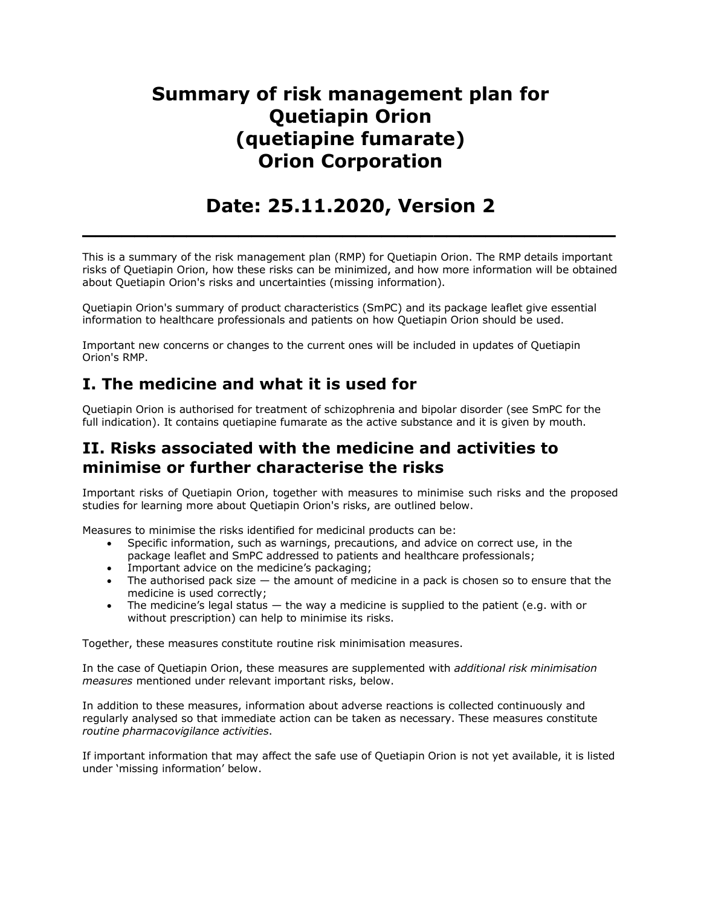# **Summary of risk management plan for Quetiapin Orion (quetiapine fumarate) Orion Corporation**

## **Date: 25.11.2020, Version 2**

**\_\_\_\_\_\_\_\_\_\_\_\_\_\_\_\_\_\_\_\_\_\_\_\_\_\_\_\_\_\_\_\_\_\_\_\_\_\_\_\_\_**

This is a summary of the risk management plan (RMP) for Quetiapin Orion. The RMP details important risks of Quetiapin Orion, how these risks can be minimized, and how more information will be obtained about Quetiapin Orion's risks and uncertainties (missing information).

Quetiapin Orion's summary of product characteristics (SmPC) and its package leaflet give essential information to healthcare professionals and patients on how Quetiapin Orion should be used.

Important new concerns or changes to the current ones will be included in updates of Quetiapin Orion's RMP.

## **I. The medicine and what it is used for**

Quetiapin Orion is authorised for treatment of schizophrenia and bipolar disorder (see SmPC for the full indication). It contains quetiapine fumarate as the active substance and it is given by mouth.

## **II. Risks associated with the medicine and activities to minimise or further characterise the risks**

Important risks of Quetiapin Orion, together with measures to minimise such risks and the proposed studies for learning more about Quetiapin Orion's risks, are outlined below.

Measures to minimise the risks identified for medicinal products can be:

- Specific information, such as warnings, precautions, and advice on correct use, in the package leaflet and SmPC addressed to patients and healthcare professionals;
- Important advice on the medicine's packaging;
- The authorised pack size the amount of medicine in a pack is chosen so to ensure that the medicine is used correctly;
- The medicine's legal status  $-$  the way a medicine is supplied to the patient (e.g. with or without prescription) can help to minimise its risks.

Together, these measures constitute routine risk minimisation measures.

In the case of Quetiapin Orion, these measures are supplemented with *additional risk minimisation measures* mentioned under relevant important risks, below.

In addition to these measures, information about adverse reactions is collected continuously and regularly analysed so that immediate action can be taken as necessary. These measures constitute *routine pharmacovigilance activities*.

If important information that may affect the safe use of Quetiapin Orion is not yet available, it is listed under 'missing information' below.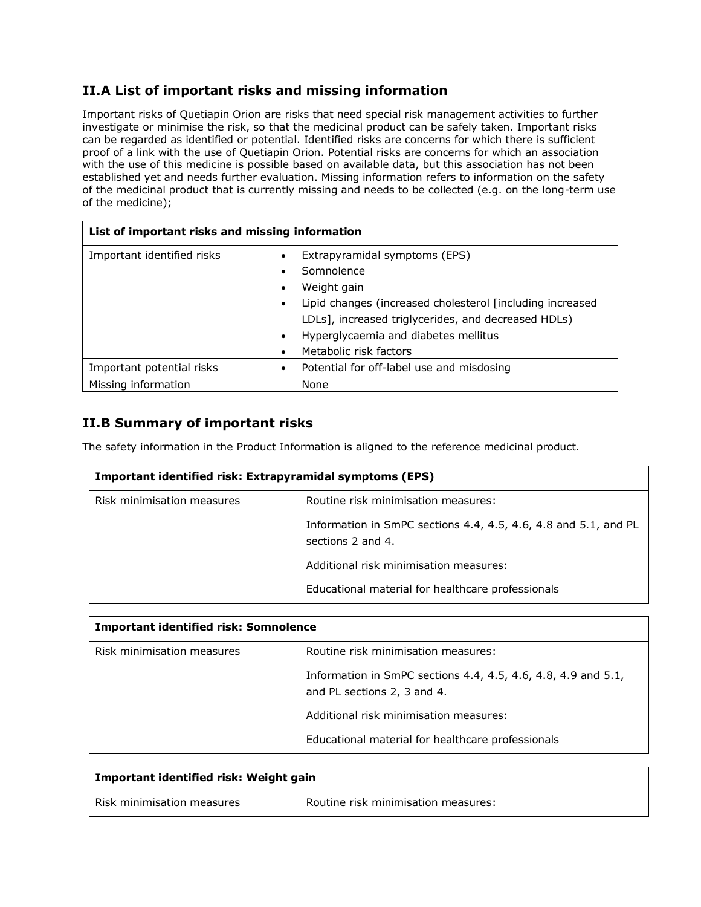#### **II.A List of important risks and missing information**

Important risks of Quetiapin Orion are risks that need special risk management activities to further investigate or minimise the risk, so that the medicinal product can be safely taken. Important risks can be regarded as identified or potential. Identified risks are concerns for which there is sufficient proof of a link with the use of Quetiapin Orion. Potential risks are concerns for which an association with the use of this medicine is possible based on available data, but this association has not been established yet and needs further evaluation. Missing information refers to information on the safety of the medicinal product that is currently missing and needs to be collected (e.g. on the long-term use of the medicine);

| List of important risks and missing information |                                                                                                                                                                                                                                                                 |
|-------------------------------------------------|-----------------------------------------------------------------------------------------------------------------------------------------------------------------------------------------------------------------------------------------------------------------|
| Important identified risks                      | Extrapyramidal symptoms (EPS)<br>Somnolence<br>Weight gain<br>٠<br>Lipid changes (increased cholesterol [including increased<br>٠<br>LDLs], increased triglycerides, and decreased HDLs)<br>Hyperglycaemia and diabetes mellitus<br>٠<br>Metabolic risk factors |
| Important potential risks                       | Potential for off-label use and misdosing                                                                                                                                                                                                                       |
| Missing information                             | None                                                                                                                                                                                                                                                            |

#### **II.B Summary of important risks**

The safety information in the Product Information is aligned to the reference medicinal product.

| Important identified risk: Extrapyramidal symptoms (EPS) |                                                                                      |
|----------------------------------------------------------|--------------------------------------------------------------------------------------|
| Risk minimisation measures                               | Routine risk minimisation measures:                                                  |
|                                                          | Information in SmPC sections 4.4, 4.5, 4.6, 4.8 and 5.1, and PL<br>sections 2 and 4. |
|                                                          | Additional risk minimisation measures:                                               |
|                                                          | Educational material for healthcare professionals                                    |

| <b>Important identified risk: Somnolence</b> |                                                                                              |
|----------------------------------------------|----------------------------------------------------------------------------------------------|
| Risk minimisation measures                   | Routine risk minimisation measures:                                                          |
|                                              | Information in SmPC sections 4.4, 4.5, 4.6, 4.8, 4.9 and 5.1,<br>and PL sections 2, 3 and 4. |
|                                              | Additional risk minimisation measures:                                                       |
|                                              | Educational material for healthcare professionals                                            |

| Important identified risk: Weight gain |                                     |
|----------------------------------------|-------------------------------------|
| Risk minimisation measures             | Routine risk minimisation measures: |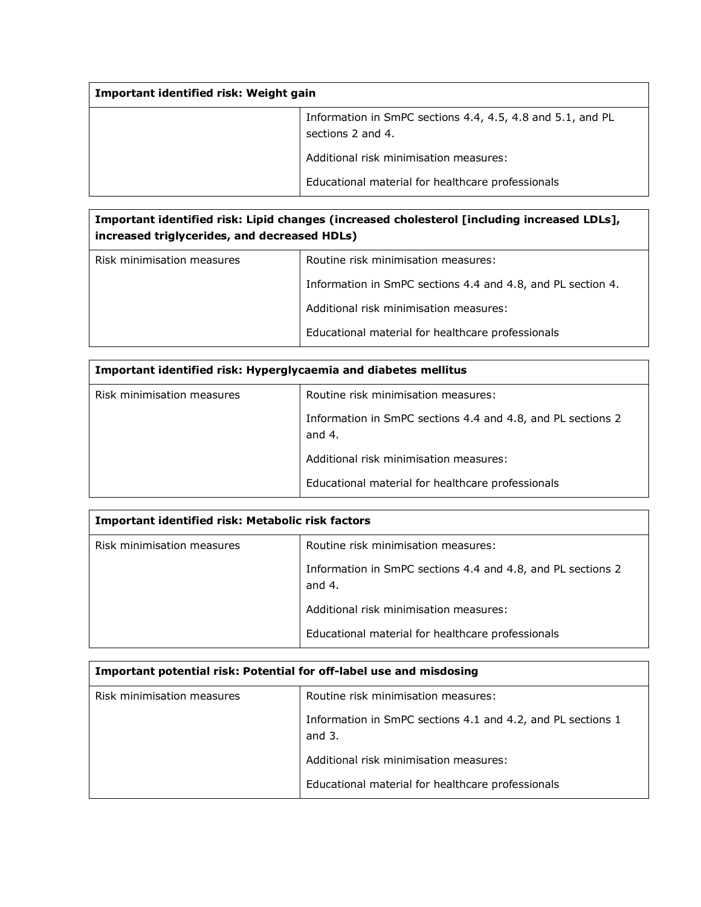| Important identified risk: Weight gain |                                                                                 |
|----------------------------------------|---------------------------------------------------------------------------------|
|                                        | Information in SmPC sections 4.4, 4.5, 4.8 and 5.1, and PL<br>sections 2 and 4. |
|                                        | Additional risk minimisation measures:                                          |
|                                        | Educational material for healthcare professionals                               |

| Important identified risk: Lipid changes (increased cholesterol [including increased LDLs],<br>increased triglycerides, and decreased HDLs) |                                                             |
|---------------------------------------------------------------------------------------------------------------------------------------------|-------------------------------------------------------------|
| Risk minimisation measures                                                                                                                  | Routine risk minimisation measures:                         |
|                                                                                                                                             | Information in SmPC sections 4.4 and 4.8, and PL section 4. |
|                                                                                                                                             | Additional risk minimisation measures:                      |
|                                                                                                                                             | Educational material for healthcare professionals           |

| Important identified risk: Hyperglycaemia and diabetes mellitus |                                                                         |
|-----------------------------------------------------------------|-------------------------------------------------------------------------|
| Risk minimisation measures                                      | Routine risk minimisation measures:                                     |
|                                                                 | Information in SmPC sections 4.4 and 4.8, and PL sections 2<br>and $4.$ |
|                                                                 | Additional risk minimisation measures:                                  |
|                                                                 | Educational material for healthcare professionals                       |

| Important identified risk: Metabolic risk factors |                                                                         |
|---------------------------------------------------|-------------------------------------------------------------------------|
| Risk minimisation measures                        | Routine risk minimisation measures:                                     |
|                                                   | Information in SmPC sections 4.4 and 4.8, and PL sections 2<br>and $4.$ |
|                                                   | Additional risk minimisation measures:                                  |
|                                                   | Educational material for healthcare professionals                       |

| Important potential risk: Potential for off-label use and misdosing |                                                                         |
|---------------------------------------------------------------------|-------------------------------------------------------------------------|
| Risk minimisation measures                                          | Routine risk minimisation measures:                                     |
|                                                                     | Information in SmPC sections 4.1 and 4.2, and PL sections 1<br>and $3.$ |
|                                                                     | Additional risk minimisation measures:                                  |
|                                                                     | Educational material for healthcare professionals                       |